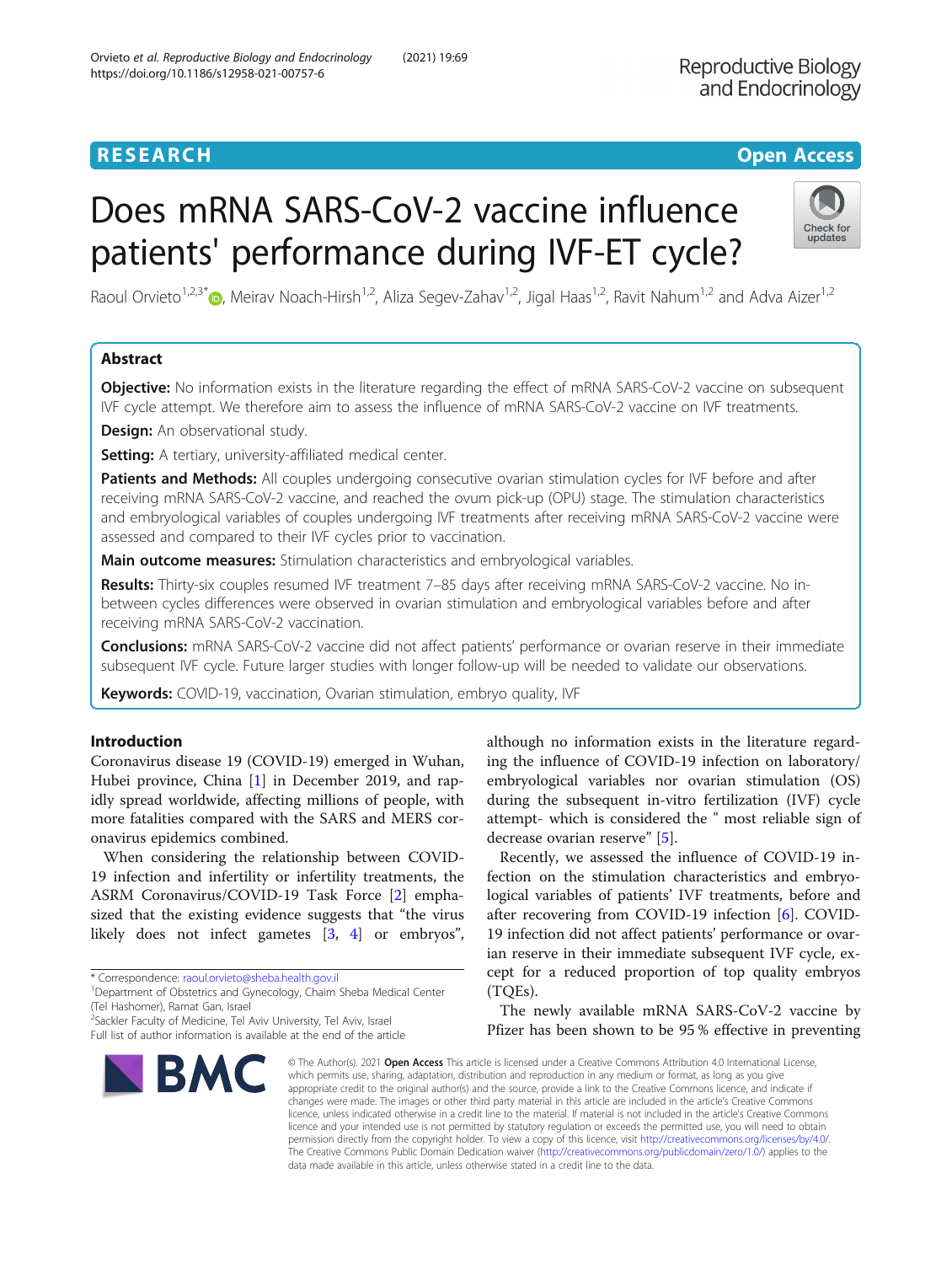## **RESEARCH CHINESE ARCH CHINESE ARCHITECT AND ACCESS**

# Does mRNA SARS-CoV-2 vaccine influence patients' performance during IVF-ET cycle?



Raoul Orvieto<sup>1,2,3[\\*](http://orcid.org/0000-0002-0865-1196)</sup>  $\odot$ , Meirav Noach-Hirsh<sup>1,2</sup>, Aliza Segev-Zahav<sup>1,2</sup>, Jigal Haas<sup>1,2</sup>, Ravit Nahum<sup>1,2</sup> and Adva Aizer<sup>1,2</sup>

## Abstract

**Objective:** No information exists in the literature regarding the effect of mRNA SARS-CoV-2 vaccine on subsequent IVF cycle attempt. We therefore aim to assess the influence of mRNA SARS-CoV-2 vaccine on IVF treatments.

**Design:** An observational study.

Setting: A tertiary, university-affiliated medical center.

Patients and Methods: All couples undergoing consecutive ovarian stimulation cycles for IVF before and after receiving mRNA SARS-CoV-2 vaccine, and reached the ovum pick-up (OPU) stage. The stimulation characteristics and embryological variables of couples undergoing IVF treatments after receiving mRNA SARS-CoV-2 vaccine were assessed and compared to their IVF cycles prior to vaccination.

**Main outcome measures:** Stimulation characteristics and embryological variables.

Results: Thirty-six couples resumed IVF treatment 7-85 days after receiving mRNA SARS-CoV-2 vaccine. No inbetween cycles differences were observed in ovarian stimulation and embryological variables before and after receiving mRNA SARS-CoV-2 vaccination.

**Conclusions:** mRNA SARS-CoV-2 vaccine did not affect patients' performance or ovarian reserve in their immediate subsequent IVF cycle. Future larger studies with longer follow-up will be needed to validate our observations.

Keywords: COVID-19, vaccination, Ovarian stimulation, embryo quality, IVF

## Introduction

Coronavirus disease 19 (COVID-19) emerged in Wuhan, Hubei province, China [[1\]](#page-3-0) in December 2019, and rapidly spread worldwide, affecting millions of people, with more fatalities compared with the SARS and MERS coronavirus epidemics combined.

When considering the relationship between COVID-19 infection and infertility or infertility treatments, the ASRM Coronavirus/COVID-19 Task Force [[2\]](#page-3-0) emphasized that the existing evidence suggests that "the virus likely does not infect gametes [[3,](#page-3-0) [4\]](#page-3-0) or embryos",

<sup>2</sup>Sackler Faculty of Medicine, Tel Aviv University, Tel Aviv, Israel Full list of author information is available at the end of the article



although no information exists in the literature regarding the influence of COVID-19 infection on laboratory/ embryological variables nor ovarian stimulation (OS) during the subsequent in-vitro fertilization (IVF) cycle attempt- which is considered the " most reliable sign of decrease ovarian reserve" [[5\]](#page-3-0).

Recently, we assessed the influence of COVID-19 infection on the stimulation characteristics and embryological variables of patients' IVF treatments, before and after recovering from COVID-19 infection [\[6](#page-3-0)]. COVID-19 infection did not affect patients' performance or ovarian reserve in their immediate subsequent IVF cycle, except for a reduced proportion of top quality embryos (TQEs).

The newly available mRNA SARS-CoV-2 vaccine by Pfizer has been shown to be 95 % effective in preventing

© The Author(s), 2021 **Open Access** This article is licensed under a Creative Commons Attribution 4.0 International License, which permits use, sharing, adaptation, distribution and reproduction in any medium or format, as long as you give appropriate credit to the original author(s) and the source, provide a link to the Creative Commons licence, and indicate if changes were made. The images or other third party material in this article are included in the article's Creative Commons licence, unless indicated otherwise in a credit line to the material. If material is not included in the article's Creative Commons licence and your intended use is not permitted by statutory regulation or exceeds the permitted use, you will need to obtain permission directly from the copyright holder. To view a copy of this licence, visit [http://creativecommons.org/licenses/by/4.0/.](http://creativecommons.org/licenses/by/4.0/) The Creative Commons Public Domain Dedication waiver [\(http://creativecommons.org/publicdomain/zero/1.0/](http://creativecommons.org/publicdomain/zero/1.0/)) applies to the data made available in this article, unless otherwise stated in a credit line to the data.

<sup>\*</sup> Correspondence: [raoul.orvieto@sheba.health.gov.il](mailto:raoul.orvieto@sheba.health.gov.il) <sup>1</sup>

Department of Obstetrics and Gynecology, Chaim Sheba Medical Center (Tel Hashomer), Ramat Gan, Israel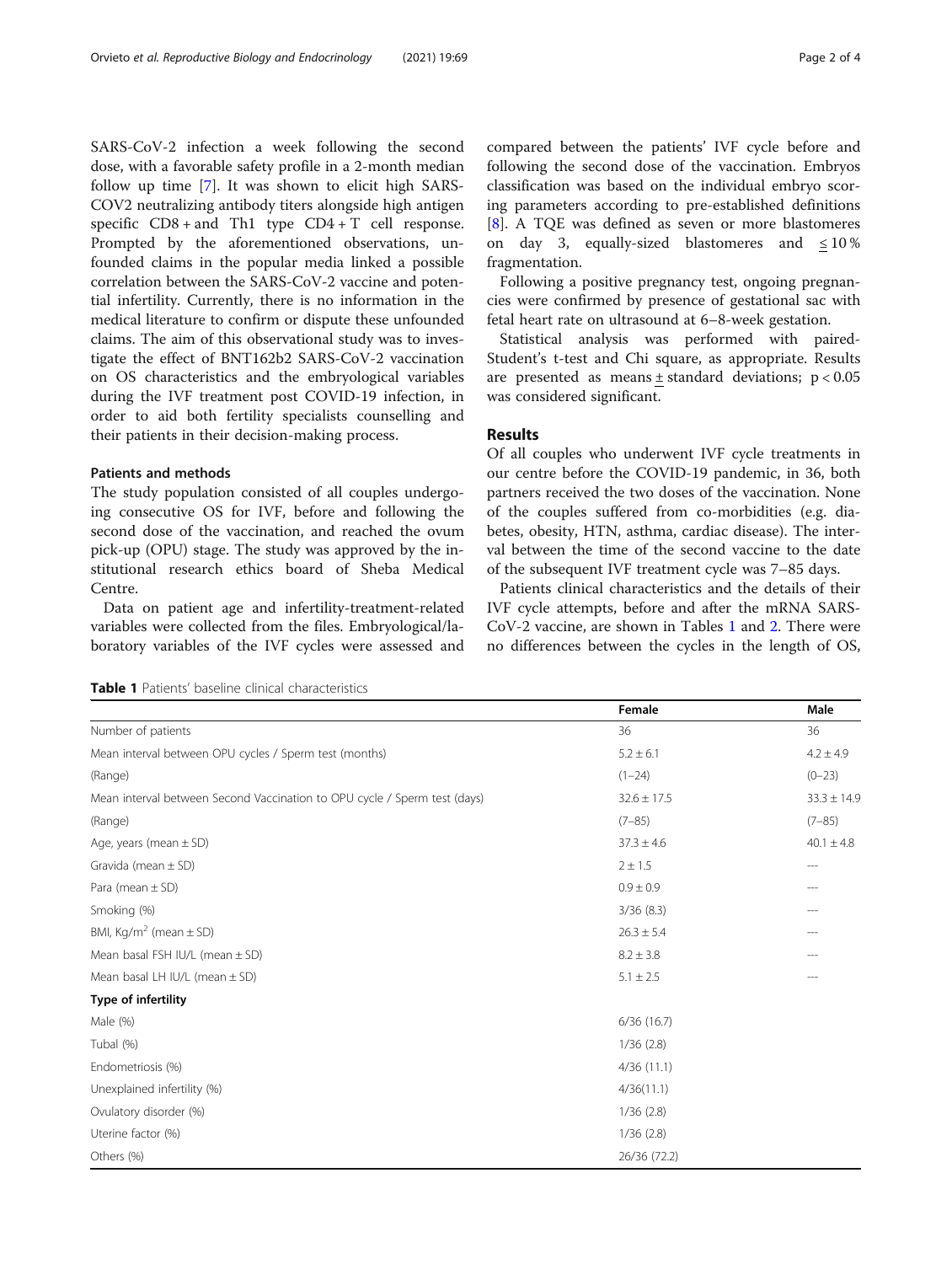SARS-CoV-2 infection a week following the second dose, with a favorable safety profile in a 2-month median follow up time [[7\]](#page-3-0). It was shown to elicit high SARS-COV2 neutralizing antibody titers alongside high antigen specific CD8 + and Th1 type CD4 + T cell response. Prompted by the aforementioned observations, unfounded claims in the popular media linked a possible correlation between the SARS-CoV-2 vaccine and potential infertility. Currently, there is no information in the medical literature to confirm or dispute these unfounded claims. The aim of this observational study was to investigate the effect of BNT162b2 SARS-CoV-2 vaccination on OS characteristics and the embryological variables during the IVF treatment post COVID-19 infection, in order to aid both fertility specialists counselling and their patients in their decision-making process.

### Patients and methods

The study population consisted of all couples undergoing consecutive OS for IVF, before and following the second dose of the vaccination, and reached the ovum pick-up (OPU) stage. The study was approved by the institutional research ethics board of Sheba Medical Centre.

Data on patient age and infertility-treatment-related variables were collected from the files. Embryological/laboratory variables of the IVF cycles were assessed and compared between the patients' IVF cycle before and following the second dose of the vaccination. Embryos classification was based on the individual embryo scoring parameters according to pre-established definitions [[8\]](#page-3-0). A TQE was defined as seven or more blastomeres on day 3, equally-sized blastomeres and  $\leq 10\%$ fragmentation.

Following a positive pregnancy test, ongoing pregnancies were confirmed by presence of gestational sac with fetal heart rate on ultrasound at 6–8-week gestation.

Statistical analysis was performed with paired-Student's t-test and Chi square, as appropriate. Results are presented as means  $\pm$  standard deviations;  $p < 0.05$ was considered significant.

#### Results

Of all couples who underwent IVF cycle treatments in our centre before the COVID-19 pandemic, in 36, both partners received the two doses of the vaccination. None of the couples suffered from co-morbidities (e.g. diabetes, obesity, HTN, asthma, cardiac disease). The interval between the time of the second vaccine to the date of the subsequent IVF treatment cycle was 7–85 days.

Patients clinical characteristics and the details of their IVF cycle attempts, before and after the mRNA SARS-CoV-2 vaccine, are shown in Tables 1 and [2.](#page-2-0) There were no differences between the cycles in the length of OS,

Table 1 Patients' baseline clinical characteristics

|                                                                           | Female          | Male            |
|---------------------------------------------------------------------------|-----------------|-----------------|
| Number of patients                                                        | 36              | 36              |
| Mean interval between OPU cycles / Sperm test (months)                    | $5.2 \pm 6.1$   | $4.2 \pm 4.9$   |
| (Range)                                                                   | $(1 - 24)$      | $(0-23)$        |
| Mean interval between Second Vaccination to OPU cycle / Sperm test (days) | $32.6 \pm 17.5$ | $33.3 \pm 14.9$ |
| (Range)                                                                   | $(7 - 85)$      | $(7 - 85)$      |
| Age, years (mean $\pm$ SD)                                                | $37.3 \pm 4.6$  | $40.1 \pm 4.8$  |
| Gravida (mean $\pm$ SD)                                                   | 2 ± 1.5         | $- - -$         |
| Para (mean $\pm$ SD)                                                      | $0.9 \pm 0.9$   |                 |
| Smoking (%)                                                               | 3/36(8.3)       |                 |
| BMI, Kg/m <sup>2</sup> (mean $\pm$ SD)                                    | $26.3 \pm 5.4$  |                 |
| Mean basal FSH IU/L (mean ± SD)                                           | $8.2 \pm 3.8$   |                 |
| Mean basal LH IU/L (mean $\pm$ SD)                                        | $5.1 \pm 2.5$   |                 |
| Type of infertility                                                       |                 |                 |
| Male (%)                                                                  | 6/36(16.7)      |                 |
| Tubal (%)                                                                 | 1/36(2.8)       |                 |
| Endometriosis (%)                                                         | 4/36(11.1)      |                 |
| Unexplained infertility (%)                                               | 4/36(11.1)      |                 |
| Ovulatory disorder (%)                                                    | 1/36(2.8)       |                 |
| Uterine factor (%)                                                        | 1/36(2.8)       |                 |
| Others (%)                                                                | 26/36 (72.2)    |                 |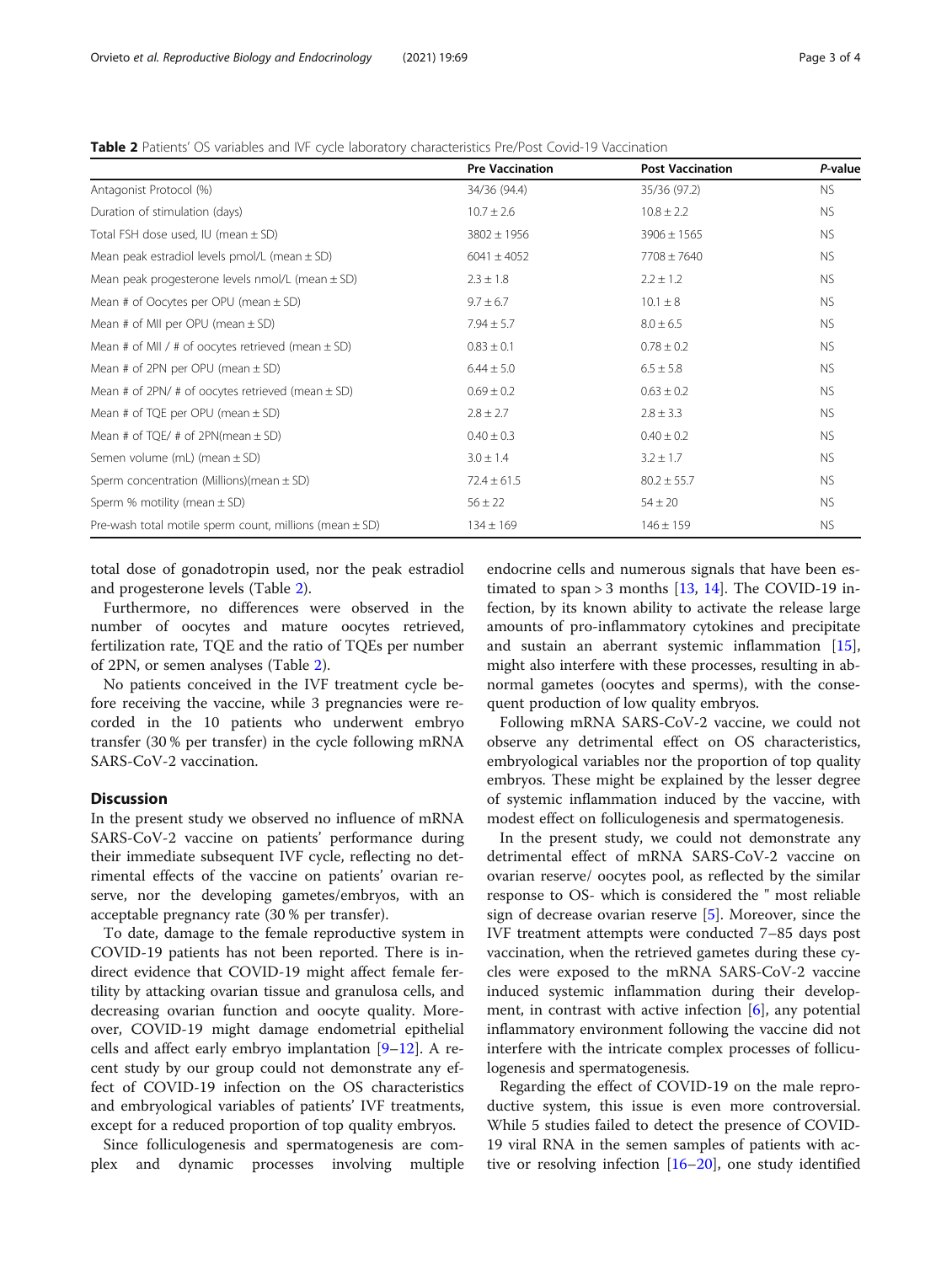<span id="page-2-0"></span>Table 2 Patients' OS variables and IVF cycle laboratory characteristics Pre/Post Covid-19 Vaccination

|                                                             | <b>Pre Vaccination</b> | <b>Post Vaccination</b> | P-value   |
|-------------------------------------------------------------|------------------------|-------------------------|-----------|
| Antagonist Protocol (%)                                     | 34/36 (94.4)           | 35/36 (97.2)            | <b>NS</b> |
| Duration of stimulation (days)                              | $10.7 \pm 2.6$         | $10.8 \pm 2.2$          | <b>NS</b> |
| Total FSH dose used, IU (mean $\pm$ SD)                     | $3802 \pm 1956$        | $3906 \pm 1565$         | <b>NS</b> |
| Mean peak estradiol levels pmol/L (mean $\pm$ SD)           | $6041 \pm 4052$        | $7708 \pm 7640$         | <b>NS</b> |
| Mean peak progesterone levels $nmol/L$ (mean $\pm$ SD)      | $2.3 \pm 1.8$          | $2.2 \pm 1.2$           | <b>NS</b> |
| Mean # of Oocytes per OPU (mean $\pm$ SD)                   | $9.7 \pm 6.7$          | $10.1 \pm 8$            | <b>NS</b> |
| Mean # of MII per OPU (mean $\pm$ SD)                       | $7.94 \pm 5.7$         | $8.0 \pm 6.5$           | <b>NS</b> |
| Mean # of MII / # of oocytes retrieved (mean $\pm$ SD)      | $0.83 \pm 0.1$         | $0.78 \pm 0.2$          | <b>NS</b> |
| Mean # of 2PN per OPU (mean $\pm$ SD)                       | $6.44 \pm 5.0$         | $6.5 \pm 5.8$           | <b>NS</b> |
| Mean # of 2PN/ # of oocytes retrieved (mean $\pm$ SD)       | $0.69 \pm 0.2$         | $0.63 \pm 0.2$          | <b>NS</b> |
| Mean # of TQE per OPU (mean $\pm$ SD)                       | $2.8 \pm 2.7$          | $2.8 \pm 3.3$           | <b>NS</b> |
| Mean # of TQE/ # of 2PN(mean $\pm$ SD)                      | $0.40 \pm 0.3$         | $0.40 \pm 0.2$          | <b>NS</b> |
| Semen volume (mL) (mean $\pm$ SD)                           | $3.0 \pm 1.4$          | $3.2 \pm 1.7$           | <b>NS</b> |
| Sperm concentration (Millions)(mean $\pm$ SD)               | $72.4 \pm 61.5$        | $80.2 \pm 55.7$         | <b>NS</b> |
| Sperm % motility (mean $\pm$ SD)                            | $56 \pm 22$            | $54 \pm 20$             | <b>NS</b> |
| Pre-wash total motile sperm count, millions (mean $\pm$ SD) | $134 \pm 169$          | $146 \pm 159$           | <b>NS</b> |

total dose of gonadotropin used, nor the peak estradiol and progesterone levels (Table 2).

Furthermore, no differences were observed in the number of oocytes and mature oocytes retrieved, fertilization rate, TQE and the ratio of TQEs per number of 2PN, or semen analyses (Table 2).

No patients conceived in the IVF treatment cycle before receiving the vaccine, while 3 pregnancies were recorded in the 10 patients who underwent embryo transfer (30 % per transfer) in the cycle following mRNA SARS-CoV-2 vaccination.

#### **Discussion**

In the present study we observed no influence of mRNA SARS-CoV-2 vaccine on patients' performance during their immediate subsequent IVF cycle, reflecting no detrimental effects of the vaccine on patients' ovarian reserve, nor the developing gametes/embryos, with an acceptable pregnancy rate (30 % per transfer).

To date, damage to the female reproductive system in COVID-19 patients has not been reported. There is indirect evidence that COVID-19 might affect female fertility by attacking ovarian tissue and granulosa cells, and decreasing ovarian function and oocyte quality. Moreover, COVID-19 might damage endometrial epithelial cells and affect early embryo implantation [[9](#page-3-0)–[12](#page-3-0)]. A recent study by our group could not demonstrate any effect of COVID-19 infection on the OS characteristics and embryological variables of patients' IVF treatments, except for a reduced proportion of top quality embryos.

Since folliculogenesis and spermatogenesis are complex and dynamic processes involving multiple

endocrine cells and numerous signals that have been estimated to span > 3 months  $[13, 14]$  $[13, 14]$  $[13, 14]$  $[13, 14]$  $[13, 14]$ . The COVID-19 infection, by its known ability to activate the release large amounts of pro-inflammatory cytokines and precipitate and sustain an aberrant systemic inflammation [\[15](#page-3-0)], might also interfere with these processes, resulting in abnormal gametes (oocytes and sperms), with the consequent production of low quality embryos.

Following mRNA SARS-CoV-2 vaccine, we could not observe any detrimental effect on OS characteristics, embryological variables nor the proportion of top quality embryos. These might be explained by the lesser degree of systemic inflammation induced by the vaccine, with modest effect on folliculogenesis and spermatogenesis.

In the present study, we could not demonstrate any detrimental effect of mRNA SARS-CoV-2 vaccine on ovarian reserve/ oocytes pool, as reflected by the similar response to OS- which is considered the " most reliable sign of decrease ovarian reserve [[5\]](#page-3-0). Moreover, since the IVF treatment attempts were conducted 7–85 days post vaccination, when the retrieved gametes during these cycles were exposed to the mRNA SARS-CoV-2 vaccine induced systemic inflammation during their development, in contrast with active infection [[6\]](#page-3-0), any potential inflammatory environment following the vaccine did not interfere with the intricate complex processes of folliculogenesis and spermatogenesis.

Regarding the effect of COVID-19 on the male reproductive system, this issue is even more controversial. While 5 studies failed to detect the presence of COVID-19 viral RNA in the semen samples of patients with active or resolving infection [\[16](#page-3-0)–[20\]](#page-3-0), one study identified